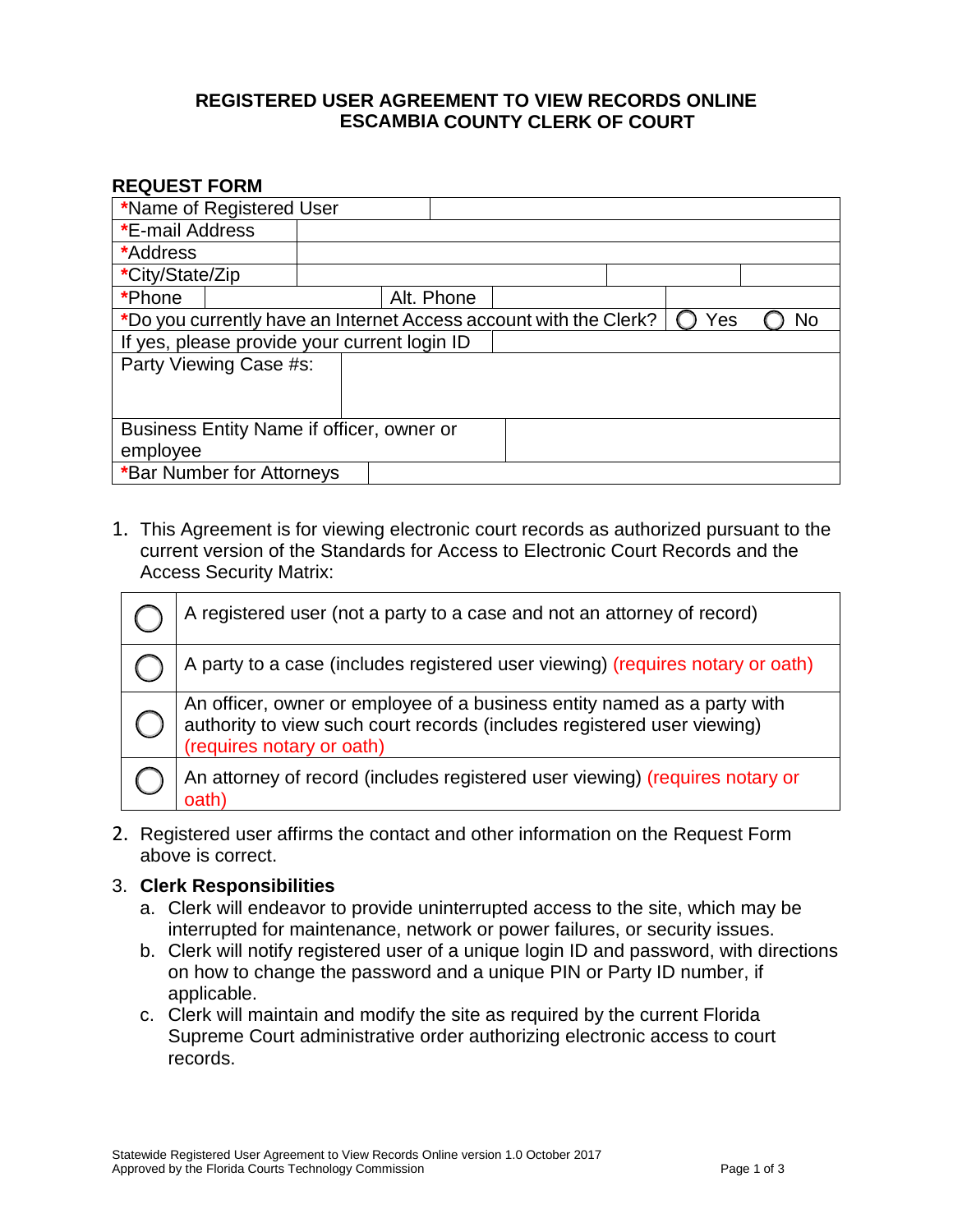## **REGISTERED USER AGREEMENT TO VIEW RECORDS ONLINE COUNTY CLERK OF COURT ESCAMBIA**

### **REQUEST FORM**

| *Name of Registered User                                                       |  |            |  |  |  |  |
|--------------------------------------------------------------------------------|--|------------|--|--|--|--|
| <b>*E-mail Address</b>                                                         |  |            |  |  |  |  |
| *Address                                                                       |  |            |  |  |  |  |
| *City/State/Zip                                                                |  |            |  |  |  |  |
| *Phone                                                                         |  | Alt. Phone |  |  |  |  |
| *Do you currently have an Internet Access account with the Clerk?<br>Yes<br>No |  |            |  |  |  |  |
| If yes, please provide your current login ID                                   |  |            |  |  |  |  |
| Party Viewing Case #s:                                                         |  |            |  |  |  |  |
|                                                                                |  |            |  |  |  |  |
|                                                                                |  |            |  |  |  |  |
| Business Entity Name if officer, owner or                                      |  |            |  |  |  |  |
| employee                                                                       |  |            |  |  |  |  |
| *Bar Number for Attorneys                                                      |  |            |  |  |  |  |

1. This Agreement is for viewing electronic court records as authorized pursuant to the current version of the Standards for Access to Electronic Court Records and the Access Security Matrix:

| A registered user (not a party to a case and not an attorney of record)                                                                                                          |
|----------------------------------------------------------------------------------------------------------------------------------------------------------------------------------|
| A party to a case (includes registered user viewing) (requires notary or oath)                                                                                                   |
| An officer, owner or employee of a business entity named as a party with<br>authority to view such court records (includes registered user viewing)<br>(requires notary or oath) |
| An attorney of record (includes registered user viewing) (requires notary or<br>oath                                                                                             |

2. Registered user affirms the contact and other information on the Request Form above is correct.

### 3. **Clerk Responsibilities**

- a. Clerk will endeavor to provide uninterrupted access to the site, which may be interrupted for maintenance, network or power failures, or security issues.
- b. Clerk will notify registered user of a unique login ID and password, with directions on how to change the password and a unique PIN or Party ID number, if applicable.
- c. Clerk will maintain and modify the site as required by the current Florida Supreme Court administrative order authorizing electronic access to court records.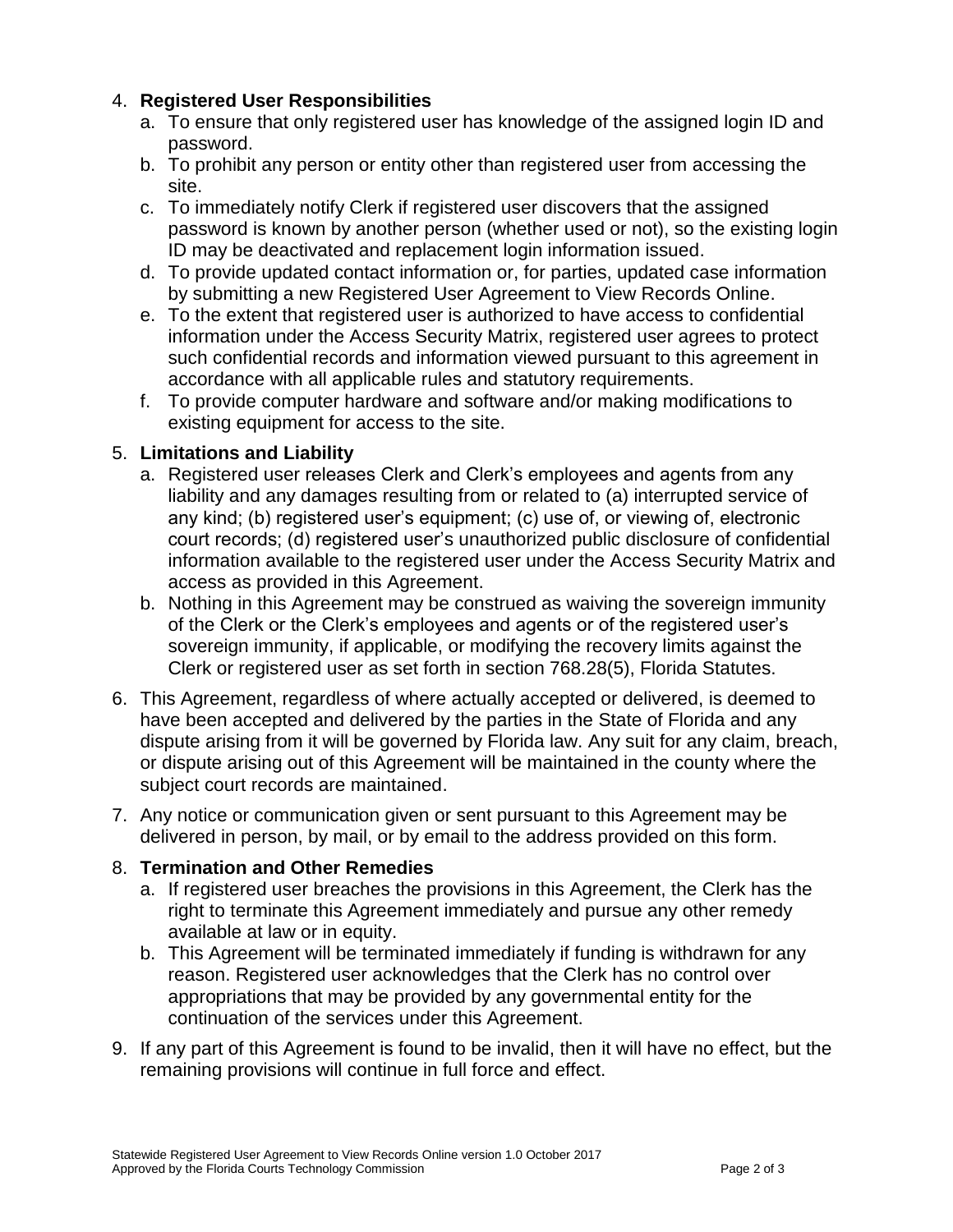# 4. **Registered User Responsibilities**

- a. To ensure that only registered user has knowledge of the assigned login ID and password.
- b. To prohibit any person or entity other than registered user from accessing the site.
- c. To immediately notify Clerk if registered user discovers that the assigned password is known by another person (whether used or not), so the existing login ID may be deactivated and replacement login information issued.
- d. To provide updated contact information or, for parties, updated case information by submitting a new Registered User Agreement to View Records Online.
- e. To the extent that registered user is authorized to have access to confidential information under the Access Security Matrix, registered user agrees to protect such confidential records and information viewed pursuant to this agreement in accordance with all applicable rules and statutory requirements.
- f. To provide computer hardware and software and/or making modifications to existing equipment for access to the site.

## 5. **Limitations and Liability**

- a. Registered user releases Clerk and Clerk's employees and agents from any liability and any damages resulting from or related to (a) interrupted service of any kind; (b) registered user's equipment; (c) use of, or viewing of, electronic court records; (d) registered user's unauthorized public disclosure of confidential information available to the registered user under the Access Security Matrix and access as provided in this Agreement.
- b. Nothing in this Agreement may be construed as waiving the sovereign immunity of the Clerk or the Clerk's employees and agents or of the registered user's sovereign immunity, if applicable, or modifying the recovery limits against the Clerk or registered user as set forth in section 768.28(5), Florida Statutes.
- 6. This Agreement, regardless of where actually accepted or delivered, is deemed to have been accepted and delivered by the parties in the State of Florida and any dispute arising from it will be governed by Florida law. Any suit for any claim, breach, or dispute arising out of this Agreement will be maintained in the county where the subject court records are maintained.
- 7. Any notice or communication given or sent pursuant to this Agreement may be delivered in person, by mail, or by email to the address provided on this form.

## 8. **Termination and Other Remedies**

- a. If registered user breaches the provisions in this Agreement, the Clerk has the right to terminate this Agreement immediately and pursue any other remedy available at law or in equity.
- b. This Agreement will be terminated immediately if funding is withdrawn for any reason. Registered user acknowledges that the Clerk has no control over appropriations that may be provided by any governmental entity for the continuation of the services under this Agreement.
- 9. If any part of this Agreement is found to be invalid, then it will have no effect, but the remaining provisions will continue in full force and effect.